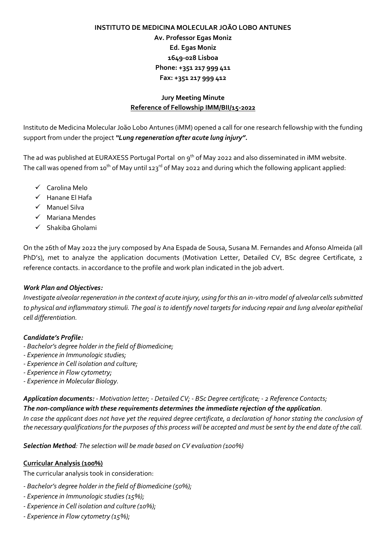# **INSTITUTO DE MEDICINA MOLECULAR JOÃO LOBO ANTUNES Av. Professor Egas Moniz Ed. Egas Moniz 1649-028 Lisboa Phone: +351 217 999 411 Fax: +351 217 999 412**

## **Jury Meeting Minute Reference of Fellowship IMM/BII/15-2022**

Instituto de Medicina Molecular João Lobo Antunes (iMM) opened a call for one research fellowship with the funding support from under the project *"Lung regeneration after acute lung injury".*

The ad was published at EURAXESS Portugal Portal on  $9^{th}$  of May 2022 and also disseminated in iMM website. The call was opened from 10<sup>th</sup> of May until 123<sup>rd</sup> of May 2022 and during which the following applicant applied:

- $\checkmark$  Carolina Melo
- $\checkmark$  Hanane El Hafa
- $\checkmark$  Manuel Silva
- $\checkmark$  Mariana Mendes
- $\checkmark$  Shakiba Gholami

On the 26th of May 2022 the jury composed by Ana Espada de Sousa, Susana M. Fernandes and Afonso Almeida (all PhD's), met to analyze the application documents (Motivation Letter, Detailed CV, BSc degree Certificate, 2 reference contacts. in accordance to the profile and work plan indicated in the job advert.

### *Work Plan and Objectives:*

*Investigate alveolar regeneration in the context of acute injury, using for this an in-vitro model of alveolar cells submitted to physical and inflammatory stimuli. The goal is to identify novel targets for inducing repair and lung alveolar epithelial cell differentiation.* 

### *Candidate's Profile:*

- *- Bachelor's degree holder in the field of Biomedicine;*
- *- Experience in Immunologic studies;*
- *- Experience in Cell isolation and culture;*
- *- Experience in Flow cytometry;*
- *- Experience in Molecular Biology.*

*Application documents: - Motivation letter; - Detailed CV; - BSc Degree certificate; - 2 Reference Contacts; The non-compliance with these requirements determines the immediate rejection of the application.*

*In case the applicant does not have yet the required degree certificate, a declaration of honor stating the conclusion of the necessary qualifications for the purposes of this process will be accepted and must be sent by the end date of the call.* 

*Selection Method: The selection will be made based on CV evaluation (100%)*

### **Curricular Analysis (100%)**

The curricular analysis took in consideration:

- *- Bachelor's degree holder in the field of Biomedicine (50%);*
- *- Experience in Immunologic studies (15%);*
- *- Experience in Cell isolation and culture (10%);*
- *- Experience in Flow cytometry (15%);*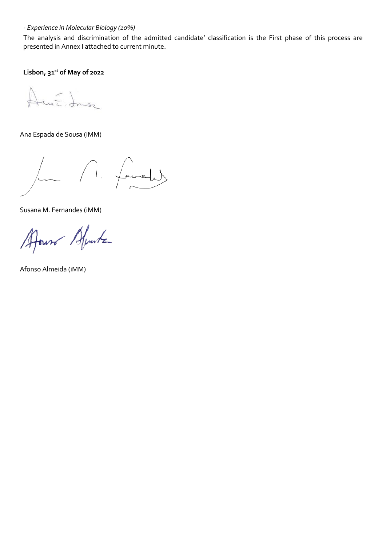#### *- Experience in Molecular Biology (10%)*

The analysis and discrimination of the admitted candidate' classification is the First phase of this process are presented in Annex I attached to current minute.

**Lisbon, 31st of May of 2022**

Ana Espada de Sousa (iMM)

.<br>سىملىكى

Susana M. Fernandes (iMM)

ours Afrants

Afonso Almeida (iMM)